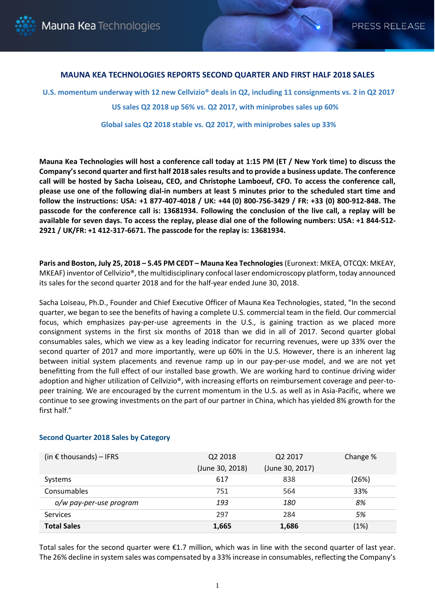

# **MAUNA KEA TECHNOLOGIES REPORTS SECOND QUARTER AND FIRST HALF 2018 SALES**

**U.S. momentum underway with 12 new Cellvizio® deals in Q2, including 11 consignments vs. 2 in Q2 2017 US sales Q2 2018 up 56% vs. Q2 2017, with miniprobes sales up 60%** 

**Global sales Q2 2018 stable vs. Q2 2017, with miniprobes sales up 33%** 

**Mauna Kea Technologies will host a conference call today at 1:15 PM (ET / New York time) to discuss the Company's second quarter and first half 2018 sales results and to provide a business update. The conference call will be hosted by Sacha Loiseau, CEO, and Christophe Lamboeuf, CFO. To access the conference call, please use one of the following dial-in numbers at least 5 minutes prior to the scheduled start time and follow the instructions: USA: +1 877-407-4018 / UK: +44 (0) 800-756-3429 / FR: +33 (0) 800-912-848. The passcode for the conference call is: 13681934. Following the conclusion of the live call, a replay will be available for seven days. To access the replay, please dial one of the following numbers: USA: +1 844-512- 2921 / UK/FR: +1 412-317-6671. The passcode for the replay is: 13681934.**

**Paris and Boston, July 25, 2018 – 5.45 PM CEDT – Mauna Kea Technologies**(Euronext: MKEA, OTCQX: MKEAY, MKEAF) inventor of Cellvizio®, the multidisciplinary confocal laser endomicroscopy platform, today announced its sales for the second quarter 2018 and for the half-year ended June 30, 2018.

Sacha Loiseau, Ph.D., Founder and Chief Executive Officer of Mauna Kea Technologies, stated, "In the second quarter, we began to see the benefits of having a complete U.S. commercial team in the field. Our commercial focus, which emphasizes pay-per-use agreements in the U.S., is gaining traction as we placed more consignment systems in the first six months of 2018 than we did in all of 2017. Second quarter global consumables sales, which we view as a key leading indicator for recurring revenues, were up 33% over the second quarter of 2017 and more importantly, were up 60% in the U.S. However, there is an inherent lag between initial system placements and revenue ramp up in our pay-per-use model, and we are not yet benefitting from the full effect of our installed base growth. We are working hard to continue driving wider adoption and higher utilization of Cellvizio®, with increasing efforts on reimbursement coverage and peer-topeer training. We are encouraged by the current momentum in the U.S. as well as in Asia-Pacific, where we continue to see growing investments on the part of our partner in China, which has yielded 8% growth for the first half."

| (in $\epsilon$ thousands) – IFRS | Q <sub>2</sub> 2018 | Q <sub>2</sub> 2017 | Change % |
|----------------------------------|---------------------|---------------------|----------|
|                                  | (June 30, 2018)     | (June 30, 2017)     |          |
| Systems                          | 617                 | 838                 | (26%)    |
| Consumables                      | 751                 | 564                 | 33%      |
| o/w pay-per-use program          | 193                 | 180                 | 8%       |
| <b>Services</b>                  | 297                 | 284                 | 5%       |
| <b>Total Sales</b>               | 1,665               | 1,686               | (1%)     |

#### **Second Quarter 2018 Sales by Category**

Total sales for the second quarter were €1.7 million, which was in line with the second quarter of last year. The 26% decline in system sales was compensated by a 33% increase in consumables, reflecting the Company's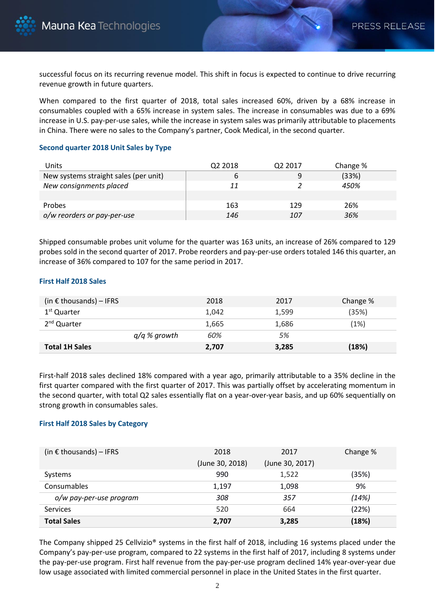successful focus on its recurring revenue model. This shift in focus is expected to continue to drive recurring revenue growth in future quarters.

When compared to the first quarter of 2018, total sales increased 60%, driven by a 68% increase in consumables coupled with a 65% increase in system sales. The increase in consumables was due to a 69% increase in U.S. pay-per-use sales, while the increase in system sales was primarily attributable to placements in China. There were no sales to the Company's partner, Cook Medical, in the second quarter.

## **Second quarter 2018 Unit Sales by Type**

| Units                                 | Q <sub>2</sub> 2018 | Q2 2017 | Change % |
|---------------------------------------|---------------------|---------|----------|
| New systems straight sales (per unit) |                     | 9       | (33%)    |
| New consignments placed               | 11                  |         | 450%     |
|                                       |                     |         |          |
| <b>Probes</b>                         | 163                 | 129     | 26%      |
| o/w reorders or pay-per-use           | 146                 | 107     | 36%      |

Shipped consumable probes unit volume for the quarter was 163 units, an increase of 26% compared to 129 probes sold in the second quarter of 2017. Probe reorders and pay-per-use orders totaled 146 this quarter, an increase of 36% compared to 107 for the same period in 2017.

## **First Half 2018 Sales**

| (in $\epsilon$ thousands) – IFRS |                | 2018  | 2017  | Change % |
|----------------------------------|----------------|-------|-------|----------|
| 1 <sup>st</sup> Quarter          |                | 1.042 | 1,599 | (35%)    |
| 2 <sup>nd</sup> Quarter          |                | 1,665 | 1,686 | (1%)     |
|                                  | $q/q$ % growth | 60%   | 5%    |          |
| <b>Total 1H Sales</b>            |                | 2,707 | 3,285 | (18%)    |

First-half 2018 sales declined 18% compared with a year ago, primarily attributable to a 35% decline in the first quarter compared with the first quarter of 2017. This was partially offset by accelerating momentum in the second quarter, with total Q2 sales essentially flat on a year-over-year basis, and up 60% sequentially on strong growth in consumables sales.

# **First Half 2018 Sales by Category**

| (in $\epsilon$ thousands) – IFRS | 2018<br>(June 30, 2018) | 2017<br>(June 30, 2017) | Change % |
|----------------------------------|-------------------------|-------------------------|----------|
| Systems                          | 990                     | 1,522                   | (35%)    |
| Consumables                      | 1,197                   | 1,098                   | 9%       |
| o/w pay-per-use program          | 308                     | 357                     | (14%)    |
| <b>Services</b>                  | 520                     | 664                     | (22%)    |
| <b>Total Sales</b>               | 2,707                   | 3,285                   | (18%)    |

The Company shipped 25 Cellvizio® systems in the first half of 2018, including 16 systems placed under the Company's pay-per-use program, compared to 22 systems in the first half of 2017, including 8 systems under the pay-per-use program. First half revenue from the pay-per-use program declined 14% year-over-year due low usage associated with limited commercial personnel in place in the United States in the first quarter.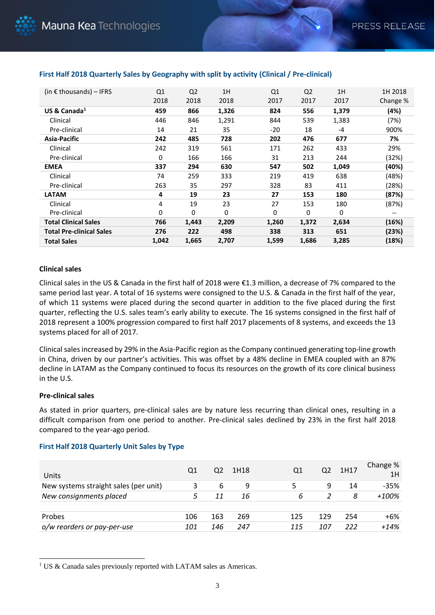| (in $\epsilon$ thousands) – IFRS | Q <sub>1</sub> | Q <sub>2</sub> | 1H    | Q1    | Q <sub>2</sub> | 1H    | 1H 2018                               |
|----------------------------------|----------------|----------------|-------|-------|----------------|-------|---------------------------------------|
|                                  | 2018           | 2018           | 2018  | 2017  | 2017           | 2017  | Change %                              |
| US & Canada $^1$                 | 459            | 866            | 1,326 | 824   | 556            | 1,379 | (4%)                                  |
| Clinical                         | 446            | 846            | 1,291 | 844   | 539            | 1,383 | (7%)                                  |
| Pre-clinical                     | 14             | 21             | 35    | -20   | 18             | -4    | 900%                                  |
| Asia-Pacific                     | 242            | 485            | 728   | 202   | 476            | 677   | 7%                                    |
| Clinical                         | 242            | 319            | 561   | 171   | 262            | 433   | 29%                                   |
| Pre-clinical                     | 0              | 166            | 166   | 31    | 213            | 244   | (32%)                                 |
| <b>EMEA</b>                      | 337            | 294            | 630   | 547   | 502            | 1,049 | (40%)                                 |
| Clinical                         | 74             | 259            | 333   | 219   | 419            | 638   | (48%)                                 |
| Pre-clinical                     | 263            | 35             | 297   | 328   | 83             | 411   | (28%)                                 |
| <b>LATAM</b>                     | 4              | 19             | 23    | 27    | 153            | 180   | (87%)                                 |
| Clinical                         | 4              | 19             | 23    | 27    | 153            | 180   | (87%)                                 |
| Pre-clinical                     | 0              | 0              | 0     | 0     | 0              | 0     | $\hspace{0.05cm}$ – $\hspace{0.05cm}$ |
| <b>Total Clinical Sales</b>      | 766            | 1,443          | 2,209 | 1,260 | 1,372          | 2,634 | (16%)                                 |
| <b>Total Pre-clinical Sales</b>  | 276            | 222            | 498   | 338   | 313            | 651   | (23%)                                 |
| <b>Total Sales</b>               | 1,042          | 1,665          | 2,707 | 1,599 | 1,686          | 3,285 | (18%)                                 |

# **First Half 2018 Quarterly Sales by Geography with split by activity (Clinical / Pre-clinical)**

## **Clinical sales**

Clinical sales in the US & Canada in the first half of 2018 were €1.3 million, a decrease of 7% compared to the same period last year. A total of 16 systems were consigned to the U.S. & Canada in the first half of the year, of which 11 systems were placed during the second quarter in addition to the five placed during the first quarter, reflecting the U.S. sales team's early ability to execute. The 16 systems consigned in the first half of 2018 represent a 100% progression compared to first half 2017 placements of 8 systems, and exceeds the 13 systems placed for all of 2017.

Clinical sales increased by 29% in the Asia-Pacific region as the Company continued generating top-line growth in China, driven by our partner's activities. This was offset by a 48% decline in EMEA coupled with an 87% decline in LATAM as the Company continued to focus its resources on the growth of its core clinical business in the U.S.

### **Pre-clinical sales**

l

As stated in prior quarters, pre-clinical sales are by nature less recurring than clinical ones, resulting in a difficult comparison from one period to another. Pre-clinical sales declined by 23% in the first half 2018 compared to the year-ago period.

| Units                                 | Q1  | Q2  | 1H18 | Q1  | Q2  | 1H17 | Change %<br>1H |
|---------------------------------------|-----|-----|------|-----|-----|------|----------------|
| New systems straight sales (per unit) |     | 6   | 9    |     | 9   | 14   | $-35%$         |
| New consignments placed               |     | 11  | 16   | 6   |     | 8    | +100%          |
|                                       |     |     |      |     |     |      |                |
| Probes                                | 106 | 163 | 269  | 125 | 129 | 254  | $+6%$          |
| o/w reorders or pay-per-use           | 101 | 146 | 247  | 115 | 107 | 222  | $+14%$         |

### **First Half 2018 Quarterly Unit Sales by Type**

<sup>&</sup>lt;sup>1</sup> US & Canada sales previously reported with LATAM sales as Americas.